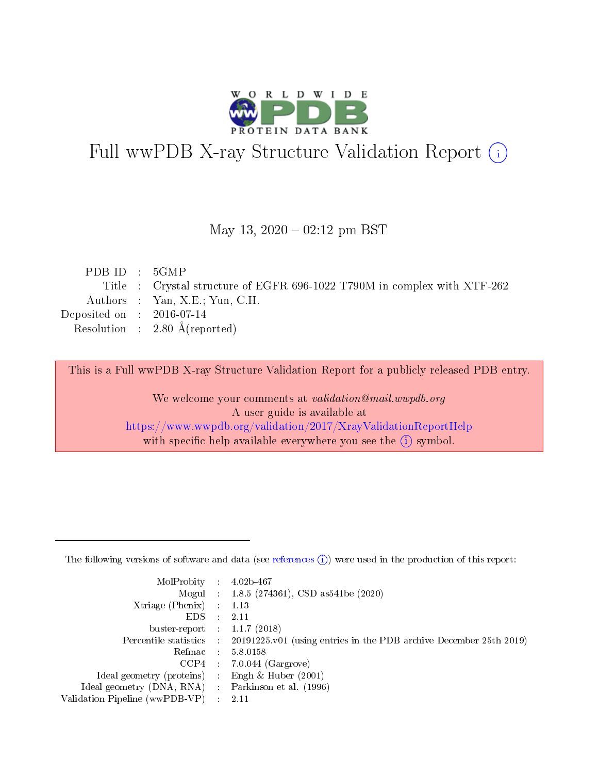

# Full wwPDB X-ray Structure Validation Report (i)

#### May 13,  $2020 - 02:12$  pm BST

| PDBID : 5GMP                |                                                                          |
|-----------------------------|--------------------------------------------------------------------------|
|                             | Title : Crystal structure of EGFR 696-1022 T790M in complex with XTF-262 |
|                             | Authors : Yan, X.E.; Yun, C.H.                                           |
| Deposited on : $2016-07-14$ |                                                                          |
|                             | Resolution : $2.80 \text{ Å}$ (reported)                                 |
|                             |                                                                          |

This is a Full wwPDB X-ray Structure Validation Report for a publicly released PDB entry.

We welcome your comments at validation@mail.wwpdb.org A user guide is available at <https://www.wwpdb.org/validation/2017/XrayValidationReportHelp> with specific help available everywhere you see the  $(i)$  symbol.

The following versions of software and data (see [references](https://www.wwpdb.org/validation/2017/XrayValidationReportHelp#references)  $(1)$ ) were used in the production of this report:

| MolProbity :                   |               | $4.02b - 467$                                                               |
|--------------------------------|---------------|-----------------------------------------------------------------------------|
|                                |               | Mogul : $1.8.5$ (274361), CSD as 541be (2020)                               |
| $X$ triage (Phenix) :          |               | 1.13                                                                        |
| EDS.                           |               | 2.11                                                                        |
| buster-report : $1.1.7$ (2018) |               |                                                                             |
| Percentile statistics :        |               | $20191225 \text{v}01$ (using entries in the PDB archive December 25th 2019) |
| Refmac :                       |               | 5.8.0158                                                                    |
| $CCP4$ :                       |               | $7.0.044$ (Gargrove)                                                        |
| Ideal geometry (proteins) :    |               | Engh $\&$ Huber (2001)                                                      |
| Ideal geometry (DNA, RNA) :    |               | Parkinson et al. (1996)                                                     |
| Validation Pipeline (wwPDB-VP) | $\mathcal{L}$ | 2.11                                                                        |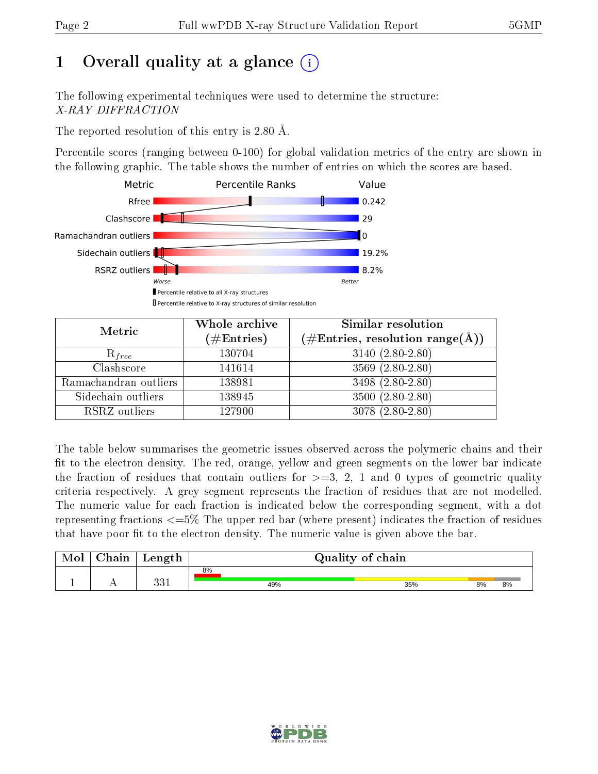# 1 [O](https://www.wwpdb.org/validation/2017/XrayValidationReportHelp#overall_quality)verall quality at a glance  $(i)$

The following experimental techniques were used to determine the structure: X-RAY DIFFRACTION

The reported resolution of this entry is 2.80 Å.

Percentile scores (ranging between 0-100) for global validation metrics of the entry are shown in the following graphic. The table shows the number of entries on which the scores are based.



| Metric                | Whole archive<br>$(\#\text{Entries})$ | Similar resolution<br>$(\#\text{Entries}, \text{resolution range}(\text{\AA}))$ |
|-----------------------|---------------------------------------|---------------------------------------------------------------------------------|
| $R_{free}$            | 130704                                | $3140 (2.80 - 2.80)$                                                            |
| Clashscore            | 141614                                | $3569(2.80-2.80)$                                                               |
| Ramachandran outliers | 138981                                | 3498 (2.80-2.80)                                                                |
| Sidechain outliers    | 138945                                | $3500(2.80-2.80)$                                                               |
| RSRZ outliers         | 127900                                | $3078(2.80-2.80)$                                                               |

The table below summarises the geometric issues observed across the polymeric chains and their fit to the electron density. The red, orange, yellow and green segments on the lower bar indicate the fraction of residues that contain outliers for  $>=3, 2, 1$  and 0 types of geometric quality criteria respectively. A grey segment represents the fraction of residues that are not modelled. The numeric value for each fraction is indicated below the corresponding segment, with a dot representing fractions  $\epsilon=5\%$  The upper red bar (where present) indicates the fraction of residues that have poor fit to the electron density. The numeric value is given above the bar.

| 8%            |     |     |    |    |
|---------------|-----|-----|----|----|
| ດດ 1<br>ב טכי | 49% | 35% | 8% | 8% |

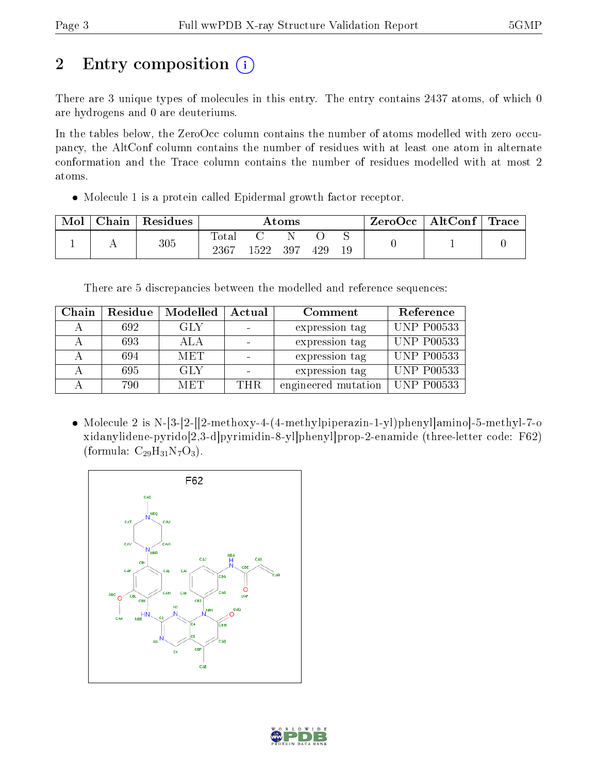# 2 Entry composition  $\left( \cdot \right)$

There are 3 unique types of molecules in this entry. The entry contains 2437 atoms, of which 0 are hydrogens and 0 are deuteriums.

In the tables below, the ZeroOcc column contains the number of atoms modelled with zero occupancy, the AltConf column contains the number of residues with at least one atom in alternate conformation and the Trace column contains the number of residues modelled with at most 2 atoms.

Molecule 1 is a protein called Epidermal growth factor receptor.

| Mol | Chain | Residues | Atoms                    |        |     |     | ZeroOcc | $\mid$ AltConf $\mid$ Trace |  |  |
|-----|-------|----------|--------------------------|--------|-----|-----|---------|-----------------------------|--|--|
|     |       | $305\,$  | $\mathrm{Tota}.$<br>2367 | 1522 - | 397 | 429 | 19      |                             |  |  |

There are 5 discrepancies between the modelled and reference sequences:

| Chain | Residue | Modelled   | Actual | Comment             | Reference          |
|-------|---------|------------|--------|---------------------|--------------------|
|       | 692     | GLY        |        | expression tag      | <b>UNP P00533</b>  |
|       | 693     | ALA        |        | expression tag      | <b>UNP P00533</b>  |
|       | 694     | <b>MET</b> |        | expression tag      | <b>UNP P00533</b>  |
|       | 695     | <b>GLY</b> |        | expression tag      | <b>UNP P00533</b>  |
|       | 790     | MET        | THR.   | engineered mutation | $\vert$ UNP P00533 |

• Molecule 2 is N-[3-[2-][2-methoxy-4-(4-methylpiperazin-1-yl)phenyl|amino]-5-methyl-7-o xidanylidene-pyrido[2,3-d]pyrimidin-8-yl]phenyl]prop-2-enamide (three-letter code: F62) (formula:  $C_{29}H_{31}N_7O_3$ ).



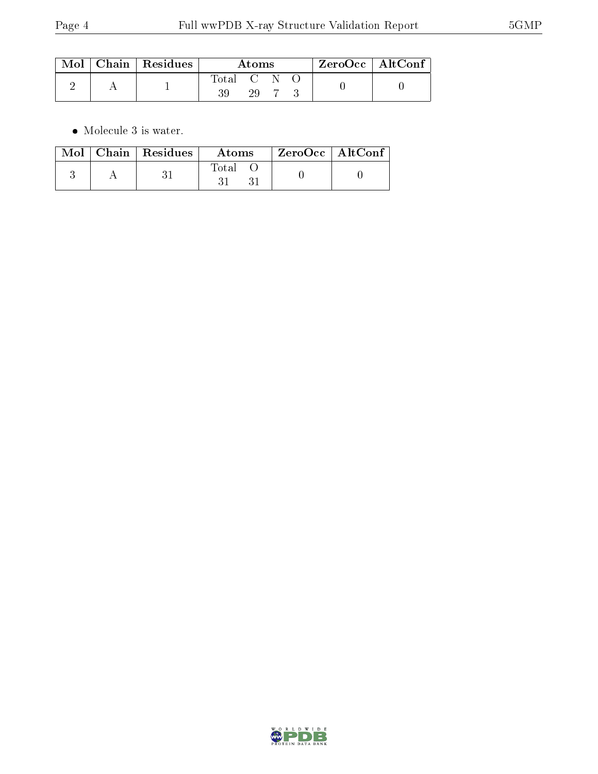|  | $\text{Mol}$   Chain   Residues | Atoms     |  |  | $ZeroOcc \   \ AltConf$ |  |
|--|---------------------------------|-----------|--|--|-------------------------|--|
|  |                                 | Total C N |  |  |                         |  |

 $\bullet\,$  Molecule 3 is water.

|  | $\text{Mol}$   Chain   Residues | Atoms | ZeroOcc   AltConf |  |
|--|---------------------------------|-------|-------------------|--|
|  |                                 | Total |                   |  |

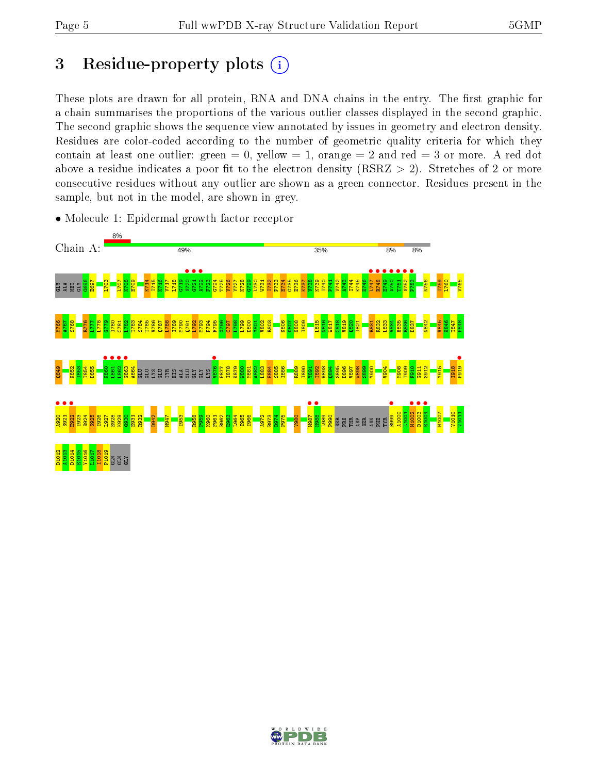# 3 Residue-property plots  $(i)$

These plots are drawn for all protein, RNA and DNA chains in the entry. The first graphic for a chain summarises the proportions of the various outlier classes displayed in the second graphic. The second graphic shows the sequence view annotated by issues in geometry and electron density. Residues are color-coded according to the number of geometric quality criteria for which they contain at least one outlier: green  $= 0$ , yellow  $= 1$ , orange  $= 2$  and red  $= 3$  or more. A red dot above a residue indicates a poor fit to the electron density (RSRZ  $> 2$ ). Stretches of 2 or more consecutive residues without any outlier are shown as a green connector. Residues present in the sample, but not in the model, are shown in grey.



• Molecule 1: Epidermal growth factor receptor

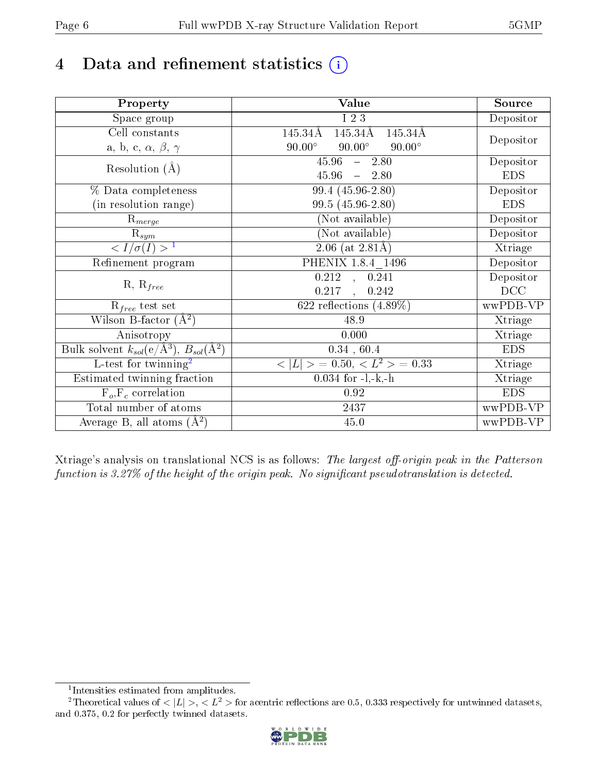# 4 Data and refinement statistics  $(i)$

| Property                                                             | Value                                                    | Source     |
|----------------------------------------------------------------------|----------------------------------------------------------|------------|
| $\overline{\text{Space}}$ group                                      | I 2 3                                                    | Depositor  |
| Cell constants                                                       | 145.34Å<br>$145.34\text{\AA}$<br>145.34Å                 |            |
| a, b, c, $\alpha$ , $\beta$ , $\gamma$                               | $90.00^\circ$<br>$90.00^\circ$<br>$90.00^\circ$          | Depositor  |
| Resolution $(A)$                                                     | $45.96 - 2.80$                                           | Depositor  |
|                                                                      | $45.96 = 2.80$                                           | <b>EDS</b> |
| % Data completeness                                                  | $99.4(45.96-2.80)$                                       | Depositor  |
| (in resolution range)                                                | 99.5 (45.96-2.80)                                        | <b>EDS</b> |
| $R_{merge}$                                                          | (Not available)                                          | Depositor  |
| $\mathrm{R}_{sym}$                                                   | (Not available)                                          | Depositor  |
| $\langle I/\sigma(I) \rangle$ <sup>1</sup>                           | $2.06$ (at 2.81Å)                                        | Xtriage    |
| Refinement program                                                   | PHENIX 1.8.4 1496                                        | Depositor  |
|                                                                      | $\overline{0.212}$ , 0.241                               | Depositor  |
| $R, R_{free}$                                                        | 0.217<br>0.242<br>$\frac{1}{2}$                          | DCC        |
| $R_{free}$ test set                                                  | 622 reflections $(4.89\%)$                               | wwPDB-VP   |
| Wilson B-factor $(A^2)$                                              | 48.9                                                     | Xtriage    |
| Anisotropy                                                           | 0.000                                                    | Xtriage    |
| Bulk solvent $k_{sol}(e/\mathring{A}^3)$ , $B_{sol}(\mathring{A}^2)$ | 0.34, 60.4                                               | <b>EDS</b> |
| L-test for twinning <sup>2</sup>                                     | $\langle  L  \rangle = 0.50, \langle L^2 \rangle = 0.33$ | Xtriage    |
| Estimated twinning fraction                                          | $0.034$ for $-l,-k,-h$                                   | Xtriage    |
| $F_o, F_c$ correlation                                               | 0.92                                                     | <b>EDS</b> |
| Total number of atoms                                                | 2437                                                     | wwPDB-VP   |
| Average B, all atoms $(A^2)$                                         | 45.0                                                     | wwPDB-VP   |

Xtriage's analysis on translational NCS is as follows: The largest off-origin peak in the Patterson function is  $3.27\%$  of the height of the origin peak. No significant pseudotranslation is detected.

<sup>&</sup>lt;sup>2</sup>Theoretical values of  $\langle |L| \rangle$ ,  $\langle L^2 \rangle$  for acentric reflections are 0.5, 0.333 respectively for untwinned datasets, and 0.375, 0.2 for perfectly twinned datasets.



<span id="page-5-1"></span><span id="page-5-0"></span><sup>1</sup> Intensities estimated from amplitudes.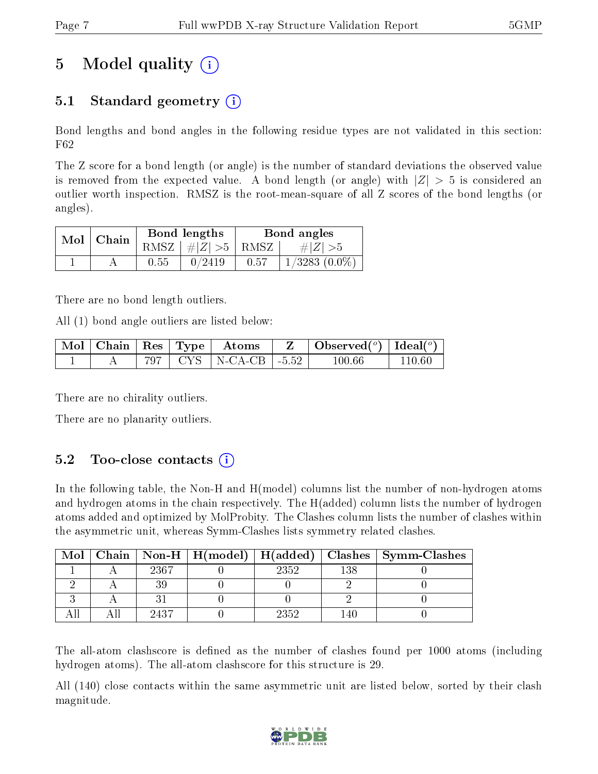# 5 Model quality  $(i)$

## 5.1 Standard geometry (i)

Bond lengths and bond angles in the following residue types are not validated in this section: F62

The Z score for a bond length (or angle) is the number of standard deviations the observed value is removed from the expected value. A bond length (or angle) with  $|Z| > 5$  is considered an outlier worth inspection. RMSZ is the root-mean-square of all Z scores of the bond lengths (or angles).

| $Mol \mid$ | Chain |      | Bond lengths                   | Bond angles |                    |  |
|------------|-------|------|--------------------------------|-------------|--------------------|--|
|            |       |      | RMSZ $\mid \#Z \mid >5$   RMSZ |             | $\# Z  > 5$        |  |
|            |       | 0.55 | 0/2419                         | 0.57        | $1/3283$ $(0.0\%)$ |  |

There are no bond length outliers.

All (1) bond angle outliers are listed below:

|  |  | $\mid$ Mol $\mid$ Chain $\mid$ Res $\mid$ Type $\mid$ $\mid$ Atoms $\mid$ | Observed $(^\circ)$   Ideal $(^\circ)$ |        |
|--|--|---------------------------------------------------------------------------|----------------------------------------|--------|
|  |  | 797   CYS   N-CA-CB   -5.52                                               | 100.66                                 | 110 60 |

There are no chirality outliers.

There are no planarity outliers.

## $5.2$  Too-close contacts  $(i)$

In the following table, the Non-H and H(model) columns list the number of non-hydrogen atoms and hydrogen atoms in the chain respectively. The H(added) column lists the number of hydrogen atoms added and optimized by MolProbity. The Clashes column lists the number of clashes within the asymmetric unit, whereas Symm-Clashes lists symmetry related clashes.

| Mol |      |      |     | Chain   Non-H   H(model)   H(added)   Clashes   Symm-Clashes |
|-----|------|------|-----|--------------------------------------------------------------|
|     | 2367 | 2352 | 138 |                                                              |
|     |      |      |     |                                                              |
|     |      |      |     |                                                              |
|     | 9437 | 2352 |     |                                                              |

The all-atom clashscore is defined as the number of clashes found per 1000 atoms (including hydrogen atoms). The all-atom clashscore for this structure is 29.

All (140) close contacts within the same asymmetric unit are listed below, sorted by their clash magnitude.

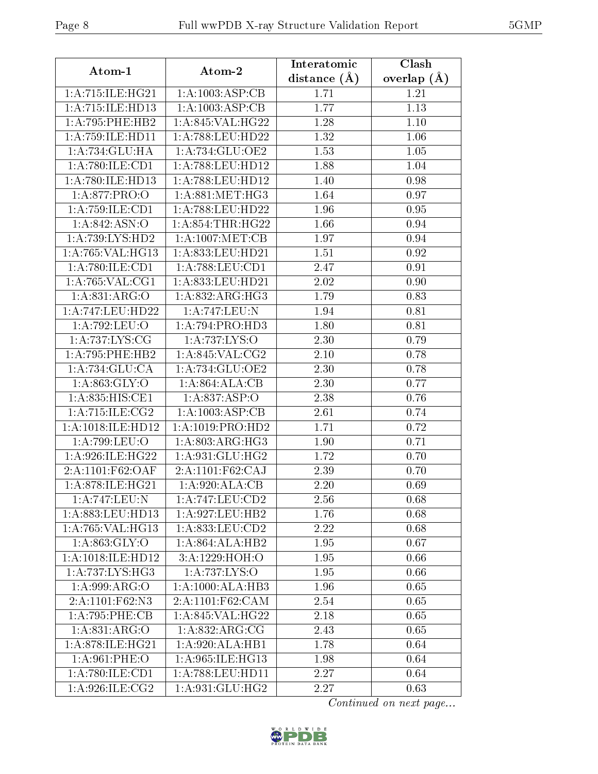| Atom-1               | $\boldsymbol{\mathrm{Atom}\text{-}2}$ | Interatomic      | Clash             |
|----------------------|---------------------------------------|------------------|-------------------|
|                      |                                       | distance $(\AA)$ | overlap $(A)$     |
| 1:A:715:ILE:HG21     | 1:A:1003:ASP:CB                       | 1.71             | 1.21              |
| 1:A:715:ILE:HD13     | 1: A: 1003: ASP: CB                   | 1.77             | 1.13              |
| 1: A:795:PHE:HB2     | 1:A:845:VAL:HG22                      | 1.28             | 1.10              |
| 1: A: 759: ILE: HD11 | 1:A:788:LEU:HD22                      | 1.32             | 1.06              |
| 1:A:734:GLU:HA       | 1:A:734:GLU:OE2                       | 1.53             | 1.05              |
| 1:A:780:ILE:CD1      | 1:A:788:LEU:HD12                      | 1.88             | 1.04              |
| 1:A:780:ILE:HD13     | 1:A:788:LEU:HD12                      | 1.40             | 0.98              |
| 1:A:877:PRO:O        | 1: A:881: MET:HG3                     | 1.64             | 0.97              |
| 1:A:759:ILE:CD1      | 1: A:788:LEU:HD22                     | 1.96             | 0.95              |
| 1:A:842:ASN:O        | 1: A:854:THR:HG22                     | 1.66             | 0.94              |
| 1: A:739: LYS: HD2   | 1: A:1007: MET:CB                     | 1.97             | 0.94              |
| 1: A:765: VAL:HG13   | 1:A:833:LEU:HD21                      | 1.51             | 0.92              |
| 1: A:780: ILE:CD1    | 1:A:788:LEU:CD1                       | 2.47             | 0.91              |
| 1: A:765: VAL:CG1    | 1:A:833:LEU:HD21                      | 2.02             | 0.90              |
| 1:A:831:ARG:O        | 1:A:832:ARG:HG3                       | 1.79             | 0.83              |
| 1:A:747:LEU:HD22     | 1:A:747:LEU:N                         | 1.94             | 0.81              |
| 1:A:792:LEU:O        | 1:A:794:PRO:HD3                       | 1.80             | 0.81              |
| 1: A:737: LYS: CG    | 1:A:737:LYS:O                         | 2.30             | 0.79              |
| 1: A:795:PHE:HB2     | $1:A:845:\overline{\text{VAL}:CG2}$   | 2.10             | 0.78              |
| 1:A:734:GLU:CA       | 1:A:734:GLU:OE2                       | 2.30             | 0.78              |
| 1: A:863: GLY:O      | 1: A:864: ALA:CB                      | 2.30             | 0.77              |
| 1:A:835:HIS:CE1      | 1:A.837:ASP:O                         | 2.38             | 0.76              |
| 1:A:715:ILE:CG2      | 1: A: 1003: ASP: CB                   | 2.61             | 0.74              |
| 1:A:1018:ILE:HD12    | 1:A:1019:PRO:HD2                      | 1.71             | 0.72              |
| 1:A:799:LEU:O        | 1: A:803:ARG:HG3                      | 1.90             | 0.71              |
| 1: A:926: ILE: HG22  | 1: A:931: GLU: HG2                    | 1.72             | 0.70              |
| 2:A:1101:F62:OAF     | 2:A:1101:F62:CAJ                      | 2.39             | 0.70              |
| 1: A:878: ILE: HG21  | 1: A:920:ALA:CB                       | 2.20             | 0.69              |
| 1:A:747:LEU:N        | 1:A:747:LEU:CD2                       | 2.56             | 0.68              |
| 1:A:883:LEU:HD13     | 1:A:927:LEU:HB2                       | 1.76             | 0.68              |
| 1: A:765: VAL:HG13   | 1:A:833:LEU:CD2                       | 2.22             | 0.68              |
| 1: A:863: GLY:O      | 1:A:864:ALA:HB2                       | 1.95             | 0.67              |
| 1:A:1018:ILE:HD12    | 3: A: 1229: HOH:O                     | 1.95             | 0.66              |
| 1: A:737: LYS: HG3   | 1:A:737:LYS:O                         | 1.95             | 0.66              |
| 1:A:999:ARG:O        | 1:A:1000:ALA:HB3                      | 1.96             | 0.65              |
| 2:A:1101:F62:N3      | 2:A:1101:F62:CAM                      | 2.54             | 0.65              |
| 1:A:795:PHE:CB       | 1:A:845:VAL:HG22                      | 2.18             | 0.65              |
| 1:A:831:ARG:O        | 1:A:832:ARG:CG                        | 2.43             | 0.65              |
| 1: A:878: ILE: HG21  | 1:A:920:ALA:HB1                       | 1.78             | $\overline{0.64}$ |
| 1:A:961:PHE:O        | 1:A:965:ILE:HG13                      | 1.98             | 0.64              |
| 1:A:780:ILE:CD1      | $1:\overline{A}:788:\text{LEU}:HD11$  | 2.27             | 0.64              |
| 1: A:926: ILE: CG2   | 1: A:931: GLU: HG2                    | 2.27             | 0.63              |

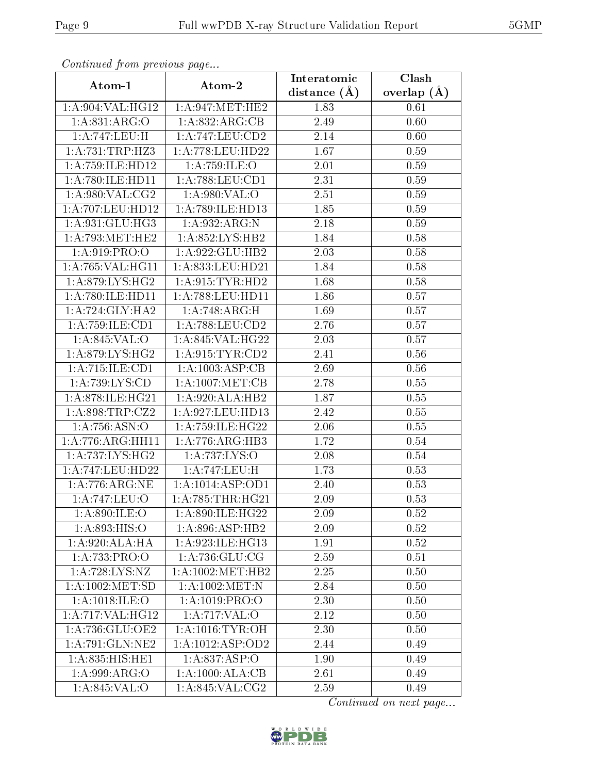| Communaca from previous page |                              | Interatomic      | Clash           |
|------------------------------|------------------------------|------------------|-----------------|
| Atom-1                       | Atom-2                       | distance $(\AA)$ | overlap $(\AA)$ |
| 1:A:904:VAL:HG12             | 1: A:947: MET:HE2            | 1.83             | 0.61            |
| 1:A:831:ARG:O                | 1: A:832:ARG:CB              | 2.49             | 0.60            |
| 1:A:747:LEU:H                | 1: A:747:LEU:CD2             | 2.14             | 0.60            |
| 1:A:731:TRP:HZ3              | 1: A:778:LEU:HD22            | 1.67             | 0.59            |
| 1: A: 759: ILE: HD12         | 1:A:759:ILE:O                | $2.01\,$         | 0.59            |
| 1: A:780: ILE: HD11          | 1: A:788:LEU:CD1             | 2.31             | 0.59            |
| 1: A:980: VAL: CG2           | 1:A:980:VAL:O                | 2.51             | 0.59            |
| 1:A:707:LEU:HD12             | 1:A:789:ILE:HD13             | 1.85             | 0.59            |
| 1:A:931:GLU:HG3              | 1: A: 932: ARG: N            | 2.18             | 0.59            |
| 1: A:793:MET:HE2             | 1: A:852: LYS: HB2           | 1.84             | 0.58            |
| 1:A:919:PRO:O                | 1: A:922: GLU:HB2            | 2.03             | 0.58            |
| 1: A:765: VAL:HGI1           | 1:A:833:LEU:HD21             | 1.84             | 0.58            |
| 1:A:879:LYS:HG2              | 1: A:915: TYR: HD2           | 1.68             | 0.58            |
| 1:A:780:ILE:HD11             | 1: A:788:LEU:HD11            | 1.86             | 0.57            |
| 1: A:724: GLY: HA2           | 1:A:748:ARG:H                | 1.69             | 0.57            |
| 1:A:759:ILE:CD1              | $1:$ A:788:LEU: $CD2$        | 2.76             | 0.57            |
| 1:A:845:VAL:O                | 1:A:845:VAL:HG22             | 2.03             | 0.57            |
| 1: A:879: LYS: HG2           | 1: A:915: TYR: CD2           | 2.41             | 0.56            |
| 1:A:715:ILE:CD1              | 1:A:1003:ASP:CB              | 2.69             | 0.56            |
| 1:A:739:LYS:CD               | 1: A:1007: MET:CB            | 2.78             | 0.55            |
| 1:A:878:ILE:HG21             | 1:A:920:ALA:HB2              | 1.87             | 0.55            |
| 1: A:898:TRP: CZ2            | $1:$ A:927:LEU:HD13          | 2.42             | 0.55            |
| 1:A:756:ASN:O                | 1:A:759:ILE:HG22             | 2.06             | 0.55            |
| 1:A:776:ARG:HH11             | 1:A:776:ARG:HB3              | 1.72             | 0.54            |
| 1: A:737: LYS: HG2           | 1: A:737:LYS:O               | 2.08             | 0.54            |
| 1:A:747:LEU:HD22             | 1:A:747:LEU:H                | 1.73             | 0.53            |
| 1: A:776:ARG:NE              | 1:A:1014:ASP:OD1             | 2.40             | 0.53            |
| 1:A:747:LEU:O                | 1:A:785:THR:H <sub>G21</sub> | 2.09             | 0.53            |
| 1: A:890: ILE:O              | 1:A:890:ILE:HG22             | 2.09             | 0.52            |
| 1:A:893:HIS:O                | 1:A:896:ASP:HB2              | 2.09             | 0.52            |
| 1: A:920:ALA:HA              | 1:A:923:ILE:HG13             | 1.91             | 0.52            |
| 1:A:733:PRO:O                | 1: A:736: GLU:CG             | 2.59             | 0.51            |
| 1: A:728: LYS: NZ            | 1: A: 1002: MET: HB2         | 2.25             | 0.50            |
| 1: A: 1002: MET:SD           | 1:A:1002:MET:N               | 2.84             | 0.50            |
| 1:A:1018:ILE:O               | 1: A: 1019: PRO: O           | 2.30             | 0.50            |
| 1:A:717:VAL:HG12             | 1: A:717: VAL:O              | 2.12             | 0.50            |
| 1:A:736:GLU:OE2              | 1: A:1016:TYR:OH             | 2.30             | 0.50            |
| 1: A:791: GLN: NE2           | 1:A:1012:ASP:OD2             | 2.44             | 0.49            |
| 1:A:835:HIS:HE1              | 1: A:837:ASP:O               | 1.90             | 0.49            |
| 1:A:999:ARG:O                | 1:A:1000:ALA:CB              | 2.61             | 0.49            |
| 1:A:845:VAL:O                | 1: A:845: VAL: CG2           | 2.59             | 0.49            |

Continued from previous page.

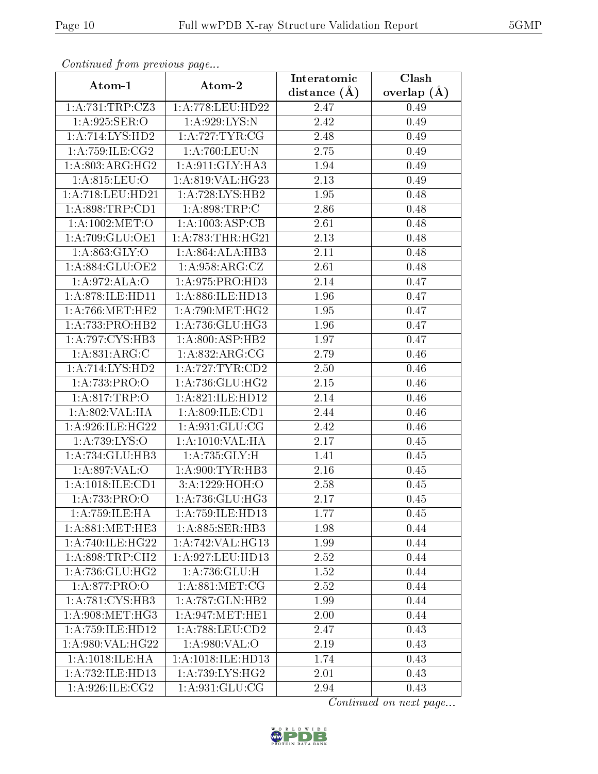| Continuea from previous page |                              | Interatomic    | Clash         |
|------------------------------|------------------------------|----------------|---------------|
| Atom-1                       | Atom-2                       | distance $(A)$ | overlap $(A)$ |
| 1:A:731:TRP:CZ3              | 1:A:778:LEU:HD22             | 2.47           | 0.49          |
| 1:A:925:SER:O                | 1: A:929: LYS:N              | 2.42           | 0.49          |
| $1:A:714:LYS:H\overline{D2}$ | 1:A:727:TYR:CG               | 2.48           | 0.49          |
| 1: A:759: ILE: CG2           | 1:A:760:LEU:N                | 2.75           | 0.49          |
| 1:A:803:ARG:HG2              | 1:A:911:GLY:HA3              | 1.94           | 0.49          |
| 1:A:815:LEU:O                | 1:A:819:VAL:HG23             | 2.13           | 0.49          |
| 1: A:718:LEU:HD21            | 1: A:728: LYS: HB2           | 1.95           | 0.48          |
| 1: A:898:TRP:CD1             | 1:A:898:TRP:C                | 2.86           | 0.48          |
| 1: A:1002: MET:O             | 1: A:1003: ASP:CB            | 2.61           | 0.48          |
| 1: A:709: GLU:OE1            | 1: A:783:THR:HG21            | 2.13           | 0.48          |
| 1: A:863: GLY:O              | 1:A:864:ALA:HB3              | 2.11           | 0.48          |
| 1:A:884:GLU:OE2              | 1: A:958: ARG: CZ            | 2.61           | 0.48          |
| 1:A:972:ALA:O                | 1:A:975:PRO:HD3              | 2.14           | 0.47          |
| 1:A:878:ILE:HD11             | 1:A:886:ILE:HD13             | 1.96           | 0.47          |
| 1: A:766:MET:HE2             | 1: A:790:MET:HG2             | 1.95           | 0.47          |
| 1: A: 733: PRO: HB2          | 1:A:736:GLU:HG3              | 1.96           | 0.47          |
| 1:A:797:CYS:HB3              | 1: A:800:ASP:HB2             | 1.97           | 0.47          |
| 1: A:831: ARG: C             | 1: A:832:ARG:CG              | 2.79           | 0.46          |
| $1:\overline{A:714:LYS:HD2}$ | 1: A:727:TYR:CD2             | 2.50           | 0.46          |
| 1:A:733:PRO:O                | 1:A:736:GLU:HG2              | 2.15           | 0.46          |
| 1:A:817:TRP:O                | 1:A:821:ILE:HD12             | 2.14           | 0.46          |
| 1:A:802:VAL:HA               | 1: A:809: ILE: CD1           | 2.44           | 0.46          |
| 1:A:926:ILE:HG22             | 1:A:931:GLU:CG               | 2.42           | 0.46          |
| 1:A:739:LYS:O                | 1: A: 1010: VAL: HA          | 2.17           | 0.45          |
| 1:A:734:GLU:HB3              | 1: A: 735: GLY: H            | 1.41           | 0.45          |
| 1:A:897:VAL:O                | 1: A:900: TYR: HB3           | 2.16           | 0.45          |
| 1: A: 1018: ILE: CD1         | 3:A:1229:HOH:O               | 2.58           | 0.45          |
| 1:A:733:PRO:O                | $1:A:736:\overline{GLU:HG3}$ | 2.17           | 0.45          |
| 1: A: 759: ILE: HA           | 1:A:759:ILE:HD13             | 1.77           | 0.45          |
| 1: A:881: MET:HE3            | 1: A:885: SER:HB3            | 1.98           | 0.44          |
| 1: A:740: ILE: HG22          | 1:A:742:VAL:HG13             | 1.99           | 0.44          |
| 1: A:898:TRP:CH2             | 1: A:927:LEU:HD13            | 2.52           | 0.44          |
| 1: A:736: GLU:HG2            | 1:A:736:GLU:H                | 1.52           | 0.44          |
| 1:A:877:PRO:O                | 1: A:881:MET:CG              | 2.52           | 0.44          |
| 1:A:781:CYS:HB3              | 1: A:787: GLN: HB2           | 1.99           | 0.44          |
| 1: A:908:MET:HG3             | 1: A:947: MET:HE1            | 2.00           | 0.44          |
| 1: A: 759: ILE: HD12         | 1: A:788:LEU:CD2             | 2.47           | 0.43          |
| 1:A:980:VAL:HG22             | 1:A:980:VAL:O                | 2.19           | 0.43          |
| 1: A:1018: ILE: HA           | 1:A:1018:ILE:HD13            | 1.74           | 0.43          |
| 1:A:732:ILE:HD13             | 1: A:739: LYS: HG2           | 2.01           | 0.43          |
| 1:A:926:ILE:CG2              | 1:A:931:GLU:CG               | 2.94           | 0.43          |

Continued from previous page.

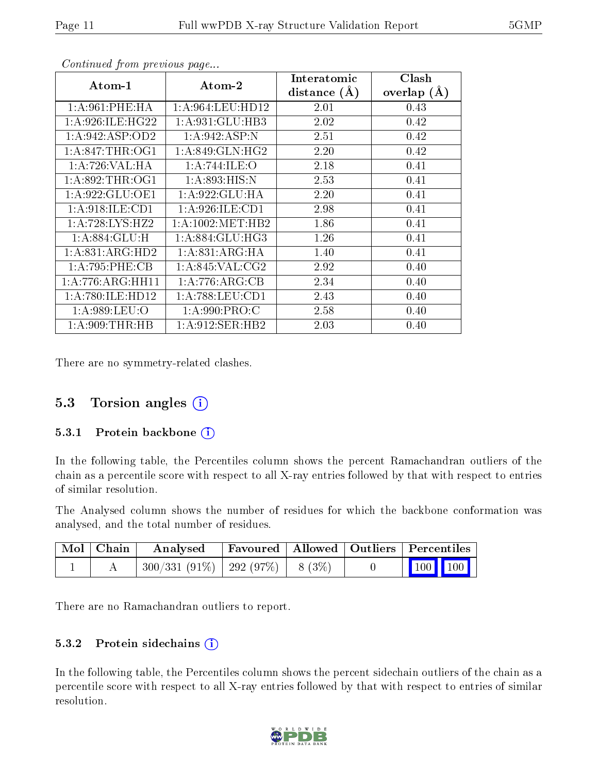| Atom-1              | Atom-2               | Interatomic    | Clash           |
|---------------------|----------------------|----------------|-----------------|
|                     |                      | distance $(A)$ | overlap $(\AA)$ |
| 1: A:961:PHE:HA     | 1: A:964:LEU:HD12    | 2.01           | 0.43            |
| 1: A:926: ILE: HG22 | 1: A:931: GLU:HB3    | 2.02           | 0.42            |
| 1:A:942:ASP:OD2     | 1:A:942:ASP:N        | 2.51           | 0.42            |
| 1: A:847:THR:OG1    | 1: A:849: GLN: HG2   | 2.20           | 0.42            |
| 1:A:726:VAL:HA      | 1:A:744:ILE:O        | 2.18           | 0.41            |
| 1: A:892:THR:OG1    | 1:A:893:HIS:N        | 2.53           | 0.41            |
| 1: A:922: GLU:OE1   | 1: A:922: GLU: HA    | 2.20           | 0.41            |
| 1: A:918: ILE: CD1  | 1:A:926:ILE:CD1      | 2.98           | 0.41            |
| 1: A:728: LYS: HZ2  | 1: A: 1002: MET: HB2 | 1.86           | 0.41            |
| 1: A:884: GLU: H    | 1: A:884: GLU: HG3   | 1.26           | 0.41            |
| 1: A:831: ARG:HD2   | 1: A:831: ARG: HA    | 1.40           | 0.41            |
| 1:A:795:PHE:CB      | 1: A:845: VAL: CG2   | 2.92           | 0.40            |
| 1:A:776:ARG:HH11    | 1:A:776:ARG:CB       | 2.34           | 0.40            |
| 1:A:780:ILE:HD12    | 1: A:788:LEU:CD1     | 2.43           | 0.40            |
| 1: A:989: LEU:O     | 1: A:990: PRO:CC     | 2.58           | 0.40            |
| 1: A:909:THR:HB     | 1: A:912: SER: HB2   | 2.03           | 0.40            |

Continued from previous page...

There are no symmetry-related clashes.

### 5.3 Torsion angles (i)

#### 5.3.1 Protein backbone  $(i)$

In the following table, the Percentiles column shows the percent Ramachandran outliers of the chain as a percentile score with respect to all X-ray entries followed by that with respect to entries of similar resolution.

The Analysed column shows the number of residues for which the backbone conformation was analysed, and the total number of residues.

| Mol   Chain | Analysed Favoured   Allowed   Outliers   Percentiles |  |                                                                          |
|-------------|------------------------------------------------------|--|--------------------------------------------------------------------------|
|             | $300/331(91\%)$   292 (97\%)   8 (3\%)               |  | $\begin{array}{ c c c c }\n\hline\n\text{100} & \text{100}\n\end{array}$ |

There are no Ramachandran outliers to report.

#### 5.3.2 Protein sidechains  $(i)$

In the following table, the Percentiles column shows the percent sidechain outliers of the chain as a percentile score with respect to all X-ray entries followed by that with respect to entries of similar resolution.

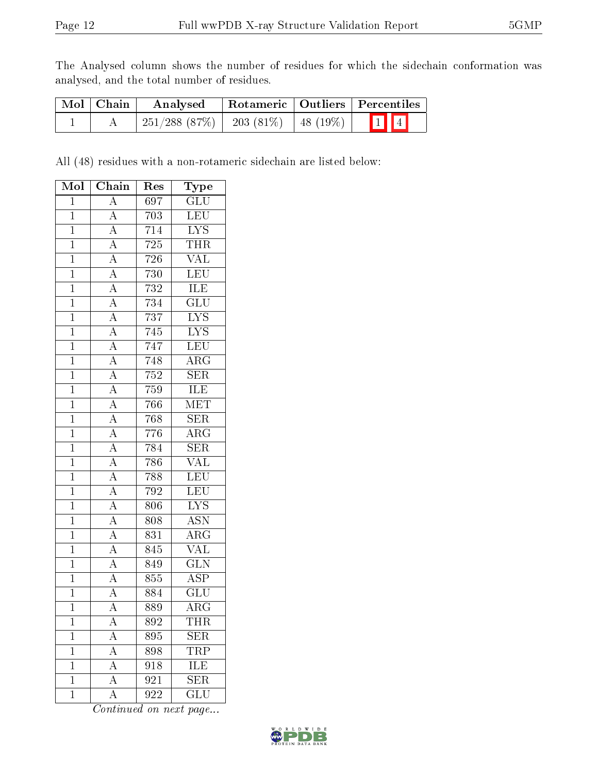The Analysed column shows the number of residues for which the sidechain conformation was analysed, and the total number of residues.

| Mol   Chain | Rotameric   Outliers   Percentiles<br>Analysed |                            |  |  |
|-------------|------------------------------------------------|----------------------------|--|--|
|             | $251/288$ (87\%)                               | 203 (81%)   48 (19%)   1 4 |  |  |

All (48) residues with a non-rotameric sidechain are listed below:

| Mol            | Chain                                                                   | $\operatorname{Res}% \left( \mathcal{N}\right) \equiv\operatorname*{Res}\left( \mathcal{N}\right)$ | Type                    |
|----------------|-------------------------------------------------------------------------|----------------------------------------------------------------------------------------------------|-------------------------|
| $\mathbf{1}$   | $\overline{A}$                                                          | 697                                                                                                | $\overline{\text{GLU}}$ |
| $\overline{1}$ | $\overline{A}$                                                          | 703                                                                                                | <b>LEU</b>              |
| $\overline{1}$ | $\overline{A}$                                                          | 714                                                                                                | <b>LYS</b>              |
| $\overline{1}$ | $\overline{A}$                                                          | 725                                                                                                | <b>THR</b>              |
| $\overline{1}$ | $\overline{A}$                                                          | 726                                                                                                | $\overline{\text{VAL}}$ |
| $\overline{1}$ | $\frac{\overline{A}}{\overline{A}}$                                     | $730\,$                                                                                            | LEU                     |
| $\overline{1}$ |                                                                         | $\overline{732}$                                                                                   | ILE                     |
| $\overline{1}$ | $\overline{A}$                                                          | 734                                                                                                | $\overline{\text{GLU}}$ |
| $\overline{1}$ | $\overline{A}$                                                          | 737                                                                                                | $\overline{\text{LYS}}$ |
| $\mathbf{1}$   |                                                                         | 745                                                                                                | <b>LYS</b>              |
| $\mathbf{1}$   |                                                                         | 747                                                                                                | LEU                     |
| $\overline{1}$ | $\frac{\overline{A}}{\overline{A}}$ $\frac{\overline{A}}{\overline{A}}$ | 748                                                                                                | $\overline{\rm{ARG}}$   |
| $\overline{1}$ |                                                                         | $\overline{752}$                                                                                   | $\overline{\text{SER}}$ |
| $\overline{1}$ | $\frac{\overline{A}}{\overline{A}}$ $\frac{\overline{A}}{\overline{A}}$ | 759                                                                                                | <b>ILE</b>              |
| $\mathbf{1}$   |                                                                         | 766                                                                                                | MET                     |
| $\mathbf{1}$   |                                                                         | 768                                                                                                | $\overline{\text{SER}}$ |
| $\overline{1}$ |                                                                         | 776                                                                                                | $\rm{ARG}$              |
| $\overline{1}$ | $\frac{\overline{A}}{\overline{A}}$ $\frac{\overline{A}}{\overline{A}}$ | 784                                                                                                | $\overline{\text{SER}}$ |
| $\overline{1}$ |                                                                         | 786                                                                                                | <b>VAL</b>              |
| $\mathbf{1}$   |                                                                         | 788                                                                                                | LEU                     |
| $\overline{1}$ |                                                                         | 792                                                                                                | LEU                     |
| $\overline{1}$ | $\overline{A}$                                                          | 806                                                                                                | $\overline{\text{LYS}}$ |
| $\overline{1}$ | $\overline{A}$                                                          | 808                                                                                                | <b>ASN</b>              |
| $\overline{1}$ | $\overline{A}$                                                          | $8\overline{3}\overline{1}$                                                                        | $\overline{\rm{ARG}}$   |
| $\overline{1}$ | $\overline{A}$                                                          | 845                                                                                                | $\overline{\text{VAL}}$ |
| $\mathbf{1}$   | $\overline{A}$                                                          | 849                                                                                                | $\overline{\text{GLN}}$ |
| $\overline{1}$ | $\overline{A}$                                                          | 855                                                                                                | <b>ASP</b>              |
| $\overline{1}$ | $\overline{A}$                                                          | $\overline{884}$                                                                                   | $\overline{{\rm GLU}}$  |
| $\mathbf{1}$   | $\overline{\rm A}$                                                      | 889                                                                                                | $\overline{\rm{ARG}}$   |
| $\mathbf{1}$   | A                                                                       | 892                                                                                                | THR                     |
| $\mathbf{1}$   | $\overline{A}$                                                          | 895                                                                                                | SER                     |
| $\mathbf 1$    | $\overline{\rm A}$                                                      | 898                                                                                                | $TR\overline{P}$        |
| $\mathbf{1}$   | $\overline{A}$                                                          | 918                                                                                                | <b>ILE</b>              |
| $\mathbf 1$    | A                                                                       | 921                                                                                                | <b>SER</b>              |
| $\mathbf 1$    | A                                                                       | 922                                                                                                | GLU                     |

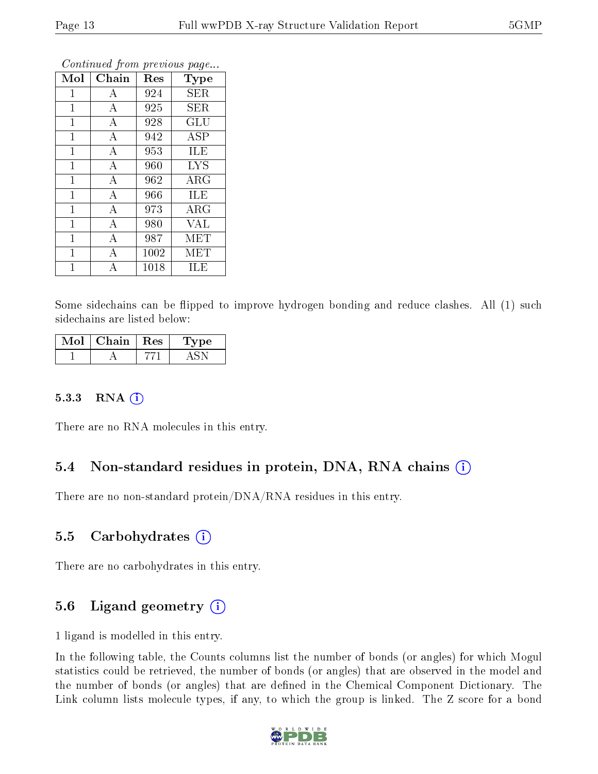| Mol            | Chain            | Res  | Type       |
|----------------|------------------|------|------------|
| $\mathbf 1$    | А                | 924  | <b>SER</b> |
| $\mathbf{1}$   | $\overline{A}$   | 925  | <b>SER</b> |
| $\mathbf{1}$   | A                | 928  | GLU        |
| $\mathbf 1$    | А                | 942  | <b>ASP</b> |
| 1              | $\boldsymbol{A}$ | 953  | ILE        |
| $\mathbf{1}$   | $\bf{A}$         | 960  | <b>LYS</b> |
| $\mathbf{1}$   | $\boldsymbol{A}$ | 962  | $\rm{ARG}$ |
| $\mathbf 1$    | $\bf{A}$         | 966  | ILE        |
| $\overline{1}$ | $\bf{A}$         | 973  | $\rm{ARG}$ |
| $\mathbf{1}$   | $\boldsymbol{A}$ | 980  | <b>VAL</b> |
| $\mathbf{1}$   | $\overline{A}$   | 987  | <b>MET</b> |
| $\mathbf{1}$   | А                | 1002 | <b>MET</b> |
| 1              | А                | 1018 | ILE        |

Continued from previous page...

Some sidechains can be flipped to improve hydrogen bonding and reduce clashes. All (1) such sidechains are listed below:

| Mol | Chain $\vert$ Res | "pe- |
|-----|-------------------|------|
|     |                   |      |

#### 5.3.3 RNA (i)

There are no RNA molecules in this entry.

### 5.4 Non-standard residues in protein, DNA, RNA chains (i)

There are no non-standard protein/DNA/RNA residues in this entry.

### 5.5 Carbohydrates  $(i)$

There are no carbohydrates in this entry.

## 5.6 Ligand geometry  $(i)$

1 ligand is modelled in this entry.

In the following table, the Counts columns list the number of bonds (or angles) for which Mogul statistics could be retrieved, the number of bonds (or angles) that are observed in the model and the number of bonds (or angles) that are defined in the Chemical Component Dictionary. The Link column lists molecule types, if any, to which the group is linked. The Z score for a bond

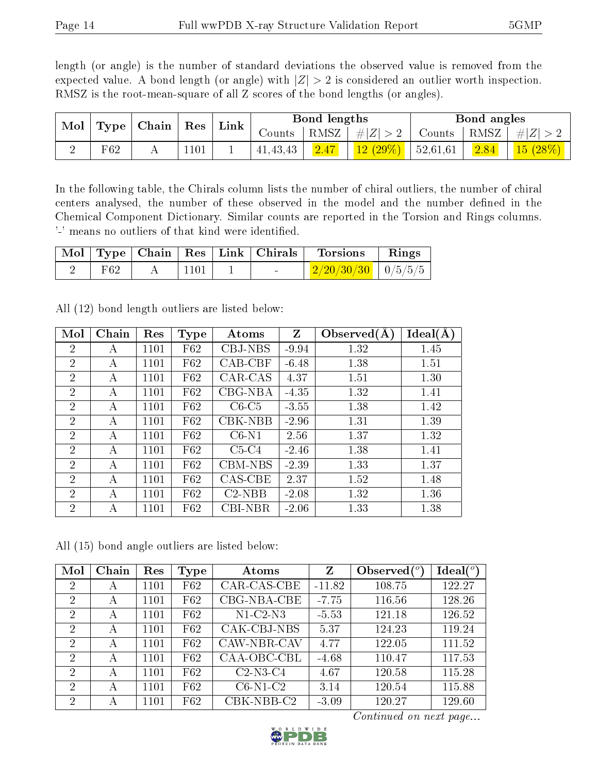length (or angle) is the number of standard deviations the observed value is removed from the expected value. A bond length (or angle) with  $|Z| > 2$  is considered an outlier worth inspection. RMSZ is the root-mean-square of all Z scores of the bond lengths (or angles).

| $\operatorname{Mol}$ | ${\rm Res}$<br>$\mid$ Chain<br>$ $ Type $ $ |  | Link | Bond lengths |            |         | Bond angles          |          |         |         |
|----------------------|---------------------------------------------|--|------|--------------|------------|---------|----------------------|----------|---------|---------|
|                      |                                             |  |      | Counts       | RMSZ       | $\# Z $ | Counts               | RMSZ     | $\# Z $ |         |
|                      | F62                                         |  | 101  |              | 41, 43, 43 | 2.47    | $\frac{12(29\%)}{1}$ | 52,61,61 | 2.84    | 15(28%) |

In the following table, the Chirals column lists the number of chiral outliers, the number of chiral centers analysed, the number of these observed in the model and the number defined in the Chemical Component Dictionary. Similar counts are reported in the Torsion and Rings columns. '-' means no outliers of that kind were identified.

|     |             |                                   | Mol   Type   Chain   Res   Link   Chirals   Torsions   Rings |  |
|-----|-------------|-----------------------------------|--------------------------------------------------------------|--|
| F62 | $\mid$ 1101 | <b>Contract Contract Contract</b> | $\mid$ 2/20/30/30 $\mid$ 0/5/5/5 $\mid$                      |  |

| Mol            | Chain | Res  | <b>Type</b> | Atoms          | Z       | Observed $(A)$ | Ideal(A) |
|----------------|-------|------|-------------|----------------|---------|----------------|----------|
| $\overline{2}$ | А     | 1101 | F62         | CBJ-NBS        | $-9.94$ | 1.32           | 1.45     |
| $\overline{2}$ | А     | 1101 | F62         | $CAB-CBF$      | $-6.48$ | 1.38           | 1.51     |
| $\overline{2}$ | А     | 1101 | F62         | CAR-CAS        | 4.37    | 1.51           | 1.30     |
| 2              | А     | 1101 | F62         | CBG-NBA        | $-4.35$ | 1.32           | 1.41     |
| $\overline{2}$ | А     | 1101 | F62         | $C6-C5$        | $-3.55$ | 1.38           | 1.42     |
| $\overline{2}$ | А     | 1101 | F62         | CBK-NBB        | $-2.96$ | 1.31           | 1.39     |
| $\overline{2}$ | А     | 1101 | F62         | $C6-N1$        | 2.56    | 1.37           | 1.32     |
| $\overline{2}$ | А     | 1101 | F62         | $C5-C4$        | $-2.46$ | 1.38           | 1.41     |
| $\overline{2}$ | А     | 1101 | F62         | CBM-NBS        | $-2.39$ | 1.33           | 1.37     |
| $\overline{2}$ | А     | 1101 | F62         | CAS-CBE        | 2.37    | 1.52           | 1.48     |
| $\mathcal{P}$  | А     | 1101 | F62         | $C2-NBB$       | $-2.08$ | 1.32           | 1.36     |
| $\overline{2}$ | А     | 1101 | F62         | <b>CBI-NBR</b> | $-2.06$ | 1.33           | 1.38     |

All (12) bond length outliers are listed below:

All (15) bond angle outliers are listed below:

| Mol            | Chain | Res  | Type | Atoms       | $\mathbf{Z}$ | Observed $(°)$ | Ideal $(°)$ |
|----------------|-------|------|------|-------------|--------------|----------------|-------------|
| $\overline{2}$ | А     | 1101 | F62  | CAR-CAS-CBE | $-11.82$     | 108.75         | 122.27      |
| 2              | А     | 1101 | F62  | CBG-NBA-CBE | $-7.75$      | 116.56         | 128.26      |
| 2              | А     | 1101 | F62  | $N1-C2-N3$  | $-5.53$      | 121.18         | 126.52      |
| 2              | A     | 1101 | F62  | CAK-CBJ-NBS | 5.37         | 124.23         | 119.24      |
| 2              | А     | 1101 | F62  | CAW-NBR-CAV | 4.77         | 122.05         | 111.52      |
| 2              | А     | 1101 | F62  | CAA-OBC-CBL | $-4.68$      | 110.47         | 117.53      |
| $\overline{2}$ | А     | 1101 | F62  | $C2-N3-C4$  | 4.67         | 120.58         | 115.28      |
| 2              | А     | 1101 | F62  | $C6-N1-C2$  | 3.14         | 120.54         | 115.88      |
| 2              | А     | 1101 | F62  | CBK-NBB-C2  | $-3.09$      | 120.27         | 129.60      |

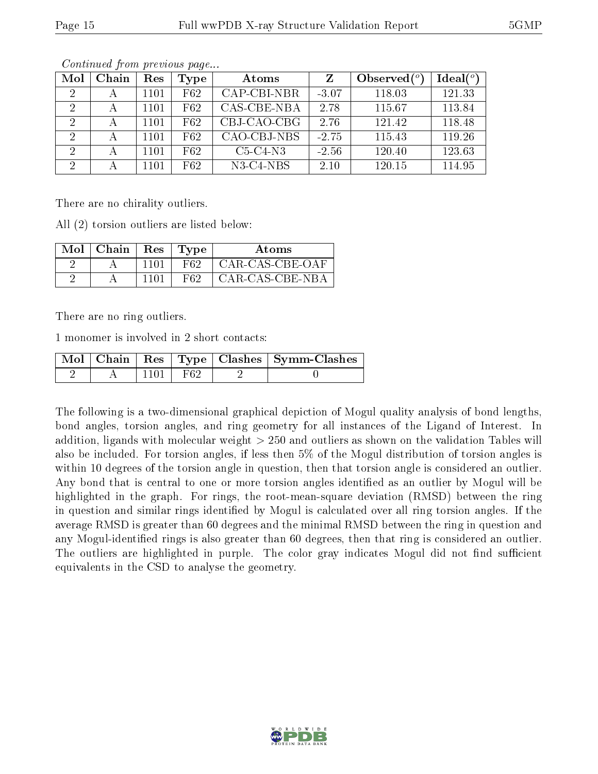| Mol           | Chain | Res  | <b>Type</b> | Atoms       |         | Observed $(^\circ)$ | Ideal $(^\circ)$ |
|---------------|-------|------|-------------|-------------|---------|---------------------|------------------|
| 2             |       | 1101 | F62         | CAP-CBI-NBR | $-3.07$ | 118.03              | 121.33           |
|               |       | 1101 | F62         | CAS-CBE-NBA | 2.78    | 115.67              | 113.84           |
| 2             |       | 1101 | F62         | CBJ-CAO-CBG | 2.76    | 121.42              | 118.48           |
| $\mathcal{D}$ |       | 1101 | F62         | CAO-CBJ-NBS | $-2.75$ | 115.43              | 119.26           |
| 2             |       | 1101 | F62         | $C5-C4-N3$  | $-2.56$ | 120.40              | 123.63           |
|               |       | 1101 | F62         | $N3-C4-NBS$ | 2.10    | 120.15              | 114.95           |

Continued from previous page...

There are no chirality outliers.

All (2) torsion outliers are listed below:

| $Mol$   Chain | Res  | ' 'Type'. | Atoms           |
|---------------|------|-----------|-----------------|
|               | 1101 | F62       | CAR-CAS-CBE-OAF |
|               |      | F62       | CAR-CAS-CBE-NBA |

There are no ring outliers.

1 monomer is involved in 2 short contacts:

|  |     | Mol   Chain   Res   Type   Clashes   Symm-Clashes |
|--|-----|---------------------------------------------------|
|  | F62 |                                                   |

The following is a two-dimensional graphical depiction of Mogul quality analysis of bond lengths, bond angles, torsion angles, and ring geometry for all instances of the Ligand of Interest. In addition, ligands with molecular weight > 250 and outliers as shown on the validation Tables will also be included. For torsion angles, if less then 5% of the Mogul distribution of torsion angles is within 10 degrees of the torsion angle in question, then that torsion angle is considered an outlier. Any bond that is central to one or more torsion angles identified as an outlier by Mogul will be highlighted in the graph. For rings, the root-mean-square deviation (RMSD) between the ring in question and similar rings identified by Mogul is calculated over all ring torsion angles. If the average RMSD is greater than 60 degrees and the minimal RMSD between the ring in question and any Mogul-identified rings is also greater than 60 degrees, then that ring is considered an outlier. The outliers are highlighted in purple. The color gray indicates Mogul did not find sufficient equivalents in the CSD to analyse the geometry.

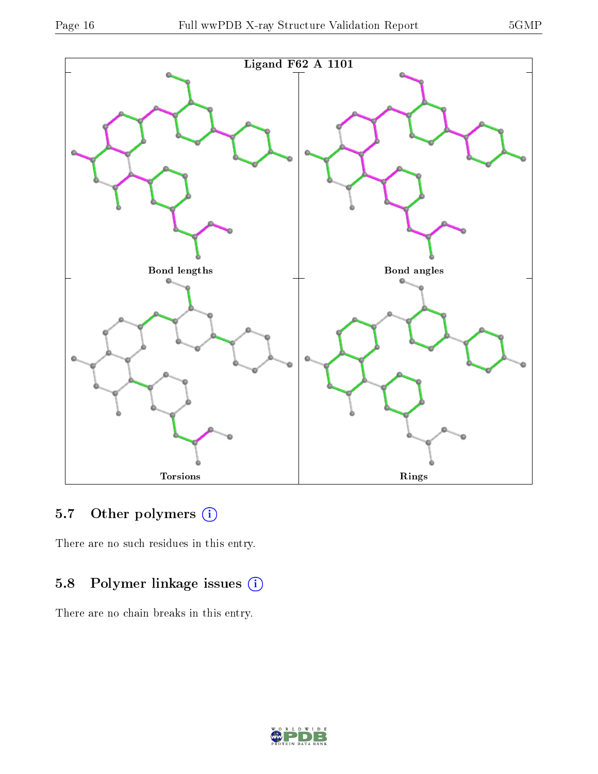

## 5.7 [O](https://www.wwpdb.org/validation/2017/XrayValidationReportHelp#nonstandard_residues_and_ligands)ther polymers (i)

There are no such residues in this entry.

## 5.8 Polymer linkage issues (i)

There are no chain breaks in this entry.

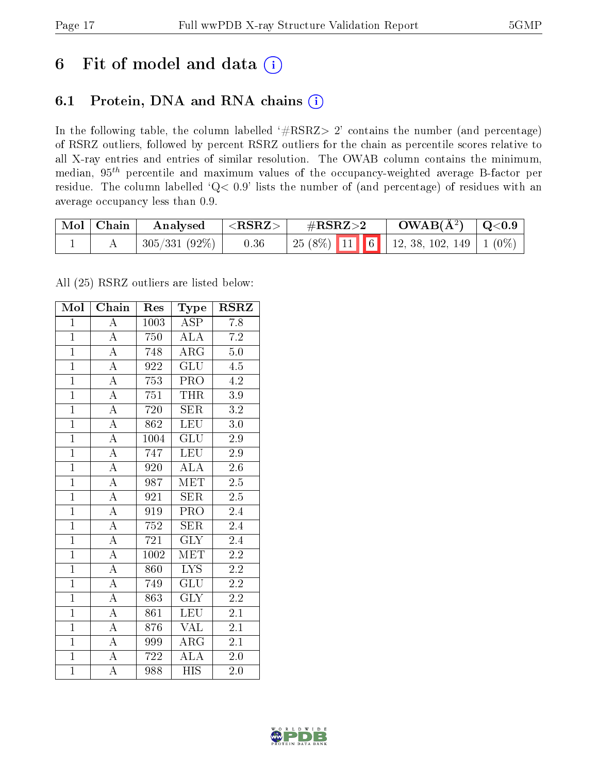# 6 Fit of model and data  $(i)$

## 6.1 Protein, DNA and RNA chains  $(i)$

In the following table, the column labelled  $#RSRZ> 2'$  contains the number (and percentage) of RSRZ outliers, followed by percent RSRZ outliers for the chain as percentile scores relative to all X-ray entries and entries of similar resolution. The OWAB column contains the minimum, median,  $95<sup>th</sup>$  percentile and maximum values of the occupancy-weighted average B-factor per residue. The column labelled ' $Q< 0.9$ ' lists the number of (and percentage) of residues with an average occupancy less than 0.9.

| $\mid$ Mol $\mid$ Chain | Analysed      | $^+$ <rsrz> <math>^-</math></rsrz> | $\#\text{RSRZ}\text{>2}$                     | $\rm{OWAB}(\AA^2)$   Q<0.9 |  |
|-------------------------|---------------|------------------------------------|----------------------------------------------|----------------------------|--|
|                         | 305/331 (92%) | 0.36                               | 25 (8%)   11   6   12, 38, 102, 149   1 (0%) |                            |  |

All (25) RSRZ outliers are listed below:

| Mol            | $\overline{\text{Chain}}$ | Res               | Type                    | <b>RSRZ</b>      |
|----------------|---------------------------|-------------------|-------------------------|------------------|
| $\mathbf{1}$   | $\overline{A}$            | 1003              | $\overline{\text{ASP}}$ | 7.8              |
| $\overline{1}$ | $\overline{A}$            | 750               | <b>ALA</b>              | $7.2\,$          |
| $\overline{1}$ | $\overline{\rm A}$        | 748               | $\overline{\rm{ARG}}$   | 5.0              |
| $\overline{1}$ | $\overline{A}$            | 922               | $\overline{{\rm GLU}}$  | 4.5              |
| $\overline{1}$ | $\overline{\rm A}$        | 753               | $\overline{\text{PRO}}$ | $\overline{4.2}$ |
| $\overline{1}$ | $\overline{\rm A}$        | 751               | <b>THR</b>              | $\overline{3}.9$ |
| $\mathbf{1}$   | $\overline{A}$            | 720               | <b>SER</b>              | 3.2              |
| $\overline{1}$ | $\overline{\rm A}$        | 862               | <b>LEU</b>              | 3.0              |
| $\overline{1}$ | $\overline{\rm A}$        | 1004              | $\overline{{\rm GLU}}$  | 2.9              |
| $\overline{1}$ | $\overline{A}$            | 747               | <b>LEU</b>              | 2.9              |
| $\mathbf{1}$   | $\overline{\rm A}$        | 920               | $\overline{\rm ALA}$    | $2.6\,$          |
| $\overline{1}$ | $\overline{A}$            | 987               | <b>MET</b>              | $\overline{2.5}$ |
| $\overline{1}$ | $\overline{\rm A}$        | 921               | <b>SER</b>              | 2.5              |
| $\mathbf{1}$   | $\overline{\rm A}$        | 919               | PRO                     | 2.4              |
| $\overline{1}$ | $\overline{\rm A}$        | 752               | SER                     | 2.4              |
| $\overline{1}$ | $\overline{A}$            | 721               | <b>GLY</b>              | 2.4              |
| $\overline{1}$ | $\overline{A}$            | $\overline{1002}$ | $\overline{\text{MET}}$ | $\overline{2.2}$ |
| $\mathbf{1}$   | $\overline{\rm A}$        | 860               | <b>LYS</b>              | $2.2\,$          |
| $\overline{1}$ | $\overline{\rm A}$        | 749               | GLU                     | 2.2              |
| $\overline{1}$ | $\overline{A}$            | 863               | $\overline{\text{GLY}}$ | 2.2              |
| $\overline{1}$ | $\overline{\rm A}$        | 861               | LEU                     | 2.1              |
| $\overline{1}$ | $\overline{A}$            | 876               | <b>VAL</b>              | 2.1              |
| $\overline{1}$ | $\overline{A}$            | 999               | $AR\overline{G}$        | 2.1              |
| $\overline{1}$ | $\overline{\rm A}$        | 722               | $\overline{\rm ALA}$    | $2.0\,$          |
| $\mathbf{1}$   | A                         | 988               | <b>HIS</b>              | 2.0              |

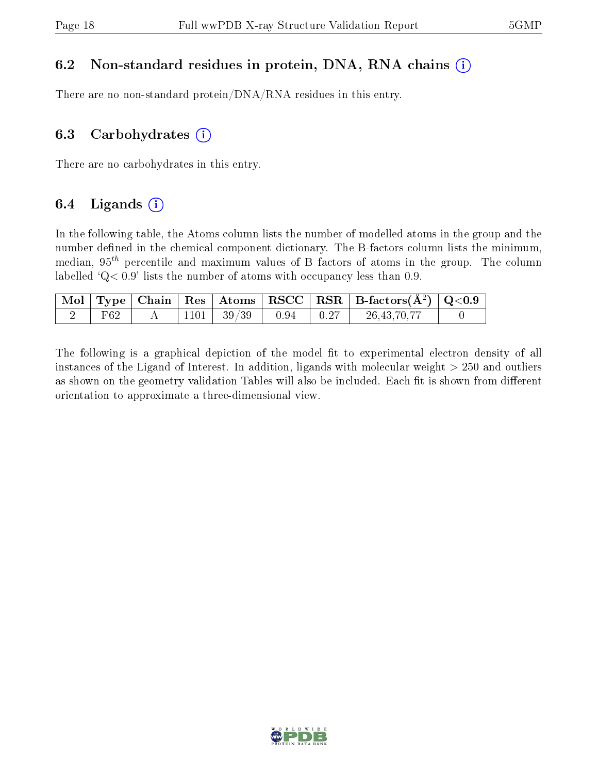### 6.2 Non-standard residues in protein, DNA, RNA chains  $(i)$

There are no non-standard protein/DNA/RNA residues in this entry.

### 6.3 Carbohydrates  $(i)$

There are no carbohydrates in this entry.

### 6.4 Ligands  $(i)$

In the following table, the Atoms column lists the number of modelled atoms in the group and the number defined in the chemical component dictionary. The B-factors column lists the minimum, median,  $95<sup>th</sup>$  percentile and maximum values of B factors of atoms in the group. The column labelled  $Q < 0.9$ ' lists the number of atoms with occupancy less than 0.9.

|     |  |                         |  | $\boxed{\text{ Mol}}$ Type   Chain   Res   Atoms   RSCC   RSR   B-factors $(\AA^2)$   Q<0.9 |  |
|-----|--|-------------------------|--|---------------------------------------------------------------------------------------------|--|
| F62 |  | $1101$   $39/39$   0.94 |  | 26, 43, 70, 77                                                                              |  |

The following is a graphical depiction of the model fit to experimental electron density of all instances of the Ligand of Interest. In addition, ligands with molecular weight  $> 250$  and outliers as shown on the geometry validation Tables will also be included. Each fit is shown from different orientation to approximate a three-dimensional view.